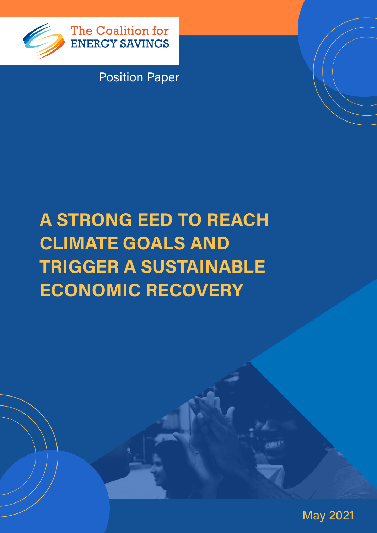

The Coalition for **ENERGY SAVINGS** 

Position Paper

# A STRONG EED TO REACH CLIMATE GOALS AND TRIGGER A SUSTAINABLE ECONOMIC RECOVERY

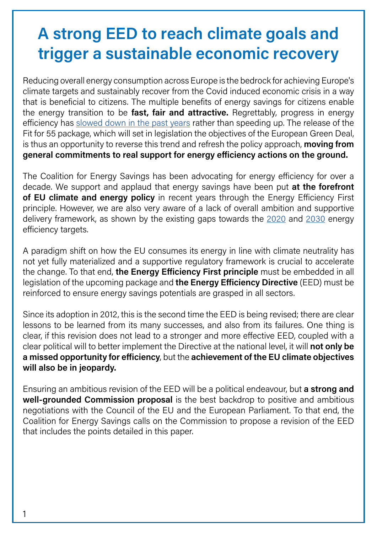## A strong EED to reach climate goals and trigger a sustainable economic recovery

Reducing overall energy consumption across Europe is the bedrock for achieving Europe's climate targets and sustainably recover from the Covid induced economic crisis in a way that is beneficial to citizens. The multiple benefits of energy savings for citizens enable the energy transition to be fast, fair and attractive. Regrettably, progress in energy efficiency has [slowed down in the past years](https://www.iea.org/reports/energy-efficiency-2020) rather than speeding up. The release of the Fit for 55 package, which will set in legislation the objectives of the European Green Deal, is thus an opportunity to reverse this trend and refresh the policy approach, moving from general commitments to real support for energy efficiency actions on the ground.

The Coalition for Energy Savings has been advocating for energy efficiency for over a decade. We support and applaud that energy savings have been put at the forefront of EU climate and energy policy in recent years through the Energy Efficiency First principle. However, we are also very aware of a lack of overall ambition and supportive delivery framework, as shown by the existing gaps towards the [2020](https://eur-lex.europa.eu/legal-content/EN/TXT/?qid=1602695747015&uri=COM:2020:954:FIN) and [2030](https://eur-lex.europa.eu/legal-content/EN/TXT/?qid=1600339518571&uri=COM%3A2020%3A564%3AFIN) energy efficiency targets.

A paradigm shift on how the EU consumes its energy in line with climate neutrality has not yet fully materialized and a supportive regulatory framework is crucial to accelerate the change. To that end, the Energy Efficiency First principle must be embedded in all legislation of the upcoming package and the Energy Efficiency Directive (EED) must be reinforced to ensure energy savings potentials are grasped in all sectors.

Since its adoption in 2012, this is the second time the EED is being revised; there are clear lessons to be learned from its many successes, and also from its failures. One thing is clear, if this revision does not lead to a stronger and more effective EED, coupled with a clear political will to better implement the Directive at the national level, it will not only be a missed opportunity for efficiency, but the achievement of the EU climate objectives will also be in jeopardy.

Ensuring an ambitious revision of the EED will be a political endeavour, but a strong and well-grounded Commission proposal is the best backdrop to positive and ambitious negotiations with the Council of the EU and the European Parliament. To that end, the Coalition for Energy Savings calls on the Commission to propose a revision of the EED that includes the points detailed in this paper.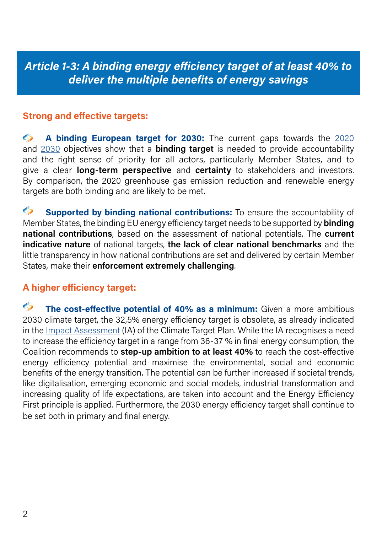Article 1-3: A binding energy efficiency target of at least 40% to deliver the multiple benefits of energy savings

#### Strong and effective targets:

A binding European target for 2030: The current gaps towards the [2020](https://eur-lex.europa.eu/legal-content/EN/TXT/?qid=1602695747015&uri=COM:2020:954:FIN)  $\mathscr{C}_{n}$ and [2030](https://eur-lex.europa.eu/legal-content/EN/TXT/?qid=1600339518571&uri=COM%3A2020%3A564%3AFIN) objectives show that a **binding target** is needed to provide accountability and the right sense of priority for all actors, particularly Member States, and to give a clear **long-term perspective** and **certainty** to stakeholders and investors. By comparison, the 2020 greenhouse gas emission reduction and renewable energy targets are both binding and are likely to be met.

 $\mathscr{C}_{\mathscr{D}}$ Supported by binding national contributions: To ensure the accountability of Member States, the binding EU energy efficiency target needs to be supported by **binding** national contributions, based on the assessment of national potentials. The current indicative nature of national targets, the lack of clear national benchmarks and the little transparency in how national contributions are set and delivered by certain Member States, make their enforcement extremely challenging.

#### A higher efficiency target:

 $\mathscr{C}_{\mathscr{D}}$ The cost-effective potential of 40% as a minimum: Given a more ambitious 2030 climate target, the 32,5% energy efficiency target is obsolete, as already indicated in the [Impact Assessment](https://eur-lex.europa.eu/legal-content/EN/TXT/?uri=CELEX:52020SC0176) (IA) of the Climate Target Plan. While the IA recognises a need to increase the efficiency target in a range from 36-37 % in final energy consumption, the Coalition recommends to step-up ambition to at least 40% to reach the cost-effective energy efficiency potential and maximise the environmental, social and economic benefits of the energy transition. The potential can be further increased if societal trends, like digitalisation, emerging economic and social models, industrial transformation and increasing quality of life expectations, are taken into account and the Energy Efficiency First principle is applied. Furthermore, the 2030 energy efficiency target shall continue to be set both in primary and final energy.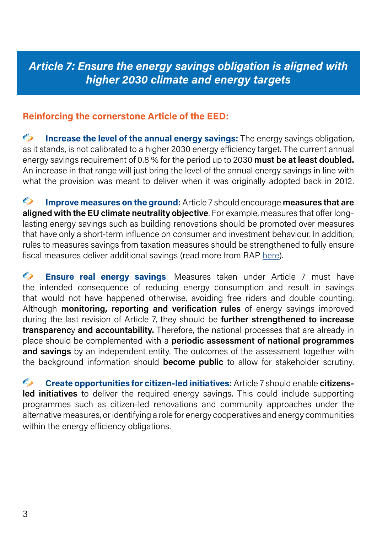## Article 7: Ensure the energy savings obligation is aligned with higher 2030 climate and energy targets

#### Reinforcing the cornerstone Article of the EED:

 $\mathscr{C}_{n}$ Increase the level of the annual energy savings: The energy savings obligation, as it stands, is not calibrated to a higher 2030 energy efficiency target. The current annual energy savings requirement of 0.8 % for the period up to 2030 must be at least doubled. An increase in that range will just bring the level of the annual energy savings in line with what the provision was meant to deliver when it was originally adopted back in 2012.

 $\mathscr{C}_{p}$ **Improve measures on the ground:** Article 7 should encourage measures that are aligned with the EU climate neutrality objective. For example, measures that offer longlasting energy savings such as building renovations should be promoted over measures that have only a short-term influence on consumer and investment behaviour. In addition, rules to measures savings from taxation measures should be strengthened to fully ensure fiscal measures deliver additional savings (read more from RAP [here\)](https://www.raponline.org/wp-content/uploads/2020/11/rap-Article7_policy_brief_251120.pdf).

 $\mathscr{C}_{\lambda}$ Ensure real energy savings: Measures taken under Article 7 must have the intended consequence of reducing energy consumption and result in savings that would not have happened otherwise, avoiding free riders and double counting. Although monitoring, reporting and verification rules of energy savings improved during the last revision of Article 7, they should be **further strengthened to increase** transparency and accountability. Therefore, the national processes that are already in place should be complemented with a periodic assessment of national programmes and savings by an independent entity. The outcomes of the assessment together with the background information should **become public** to allow for stakeholder scrutiny.

Create opportunities for citizen-led initiatives: Article 7 should enable citizens- $\mathscr{C}_{n}$ led initiatives to deliver the required energy savings. This could include supporting programmes such as citizen-led renovations and community approaches under the alternative measures, or identifying a role for energy cooperatives and energy communities within the energy efficiency obligations.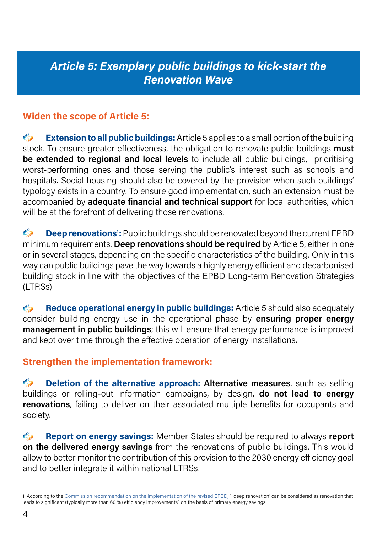## Article 5: Exemplary public buildings to kick-start the Renovation Wave

#### Widen the scope of Article 5:

 $\mathscr{C}_{n}$ **Extension to all public buildings:** Article 5 applies to a small portion of the building stock. To ensure greater effectiveness, the obligation to renovate public buildings **must** be extended to regional and local levels to include all public buildings, prioritising worst-performing ones and those serving the public's interest such as schools and hospitals. Social housing should also be covered by the provision when such buildings' typology exists in a country. To ensure good implementation, such an extension must be accompanied by **adequate financial and technical support** for local authorities, which will be at the forefront of delivering those renovations.

 $\mathscr{C}_{n}$ **Deep renovations<sup>1</sup>:** Public buildings should be renovated beyond the current EPBD minimum requirements. Deep renovations should be required by Article 5, either in one or in several stages, depending on the specific characteristics of the building. Only in this way can public buildings pave the way towards a highly energy efficient and decarbonised building stock in line with the objectives of the EPBD Long-term Renovation Strategies (LTRSs).

 $\mathscr{C}_{n}$ Reduce operational energy in public buildings: Article 5 should also adequately consider building energy use in the operational phase by ensuring proper energy **management in public buildings**; this will ensure that energy performance is improved and kept over time through the effective operation of energy installations.

#### Strengthen the implementation framework:

 $\mathscr{C}_{n}$ Deletion of the alternative approach: Alternative measures, such as selling buildings or rolling-out information campaigns, by design, **do not lead to energy renovations**, failing to deliver on their associated multiple benefits for occupants and society.

 $\mathscr{C}_{\lambda}$ Report on energy savings: Member States should be required to always report on the delivered energy savings from the renovations of public buildings. This would allow to better monitor the contribution of this provision to the 2030 energy efficiency goal and to better integrate it within national LTRSs.

<sup>1.</sup> According to the [Commission recommendation on the implementation of the revised EPBD,](https://eur-lex.europa.eu/legal-content/EN/TXT/?qid=1557992239852&uri=CELEX:32019H0786#ntc4-L_2019127EN.01003701-E0004) " 'deep renovation' can be considered as renovation that leads to significant (typically more than 60 %) efficiency improvements" on the basis of primary energy savings.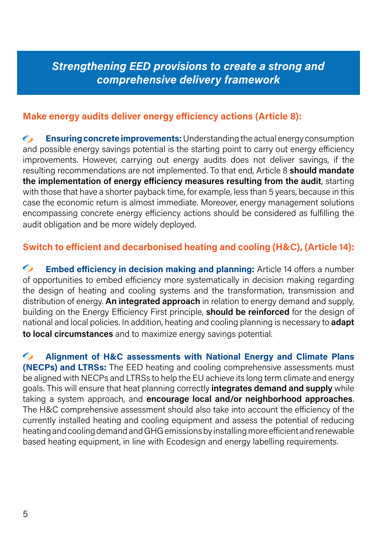### Strengthening EED provisions to create a strong and comprehensive delivery framework

#### Make energy audits deliver energy efficiency actions (Article 8):

 $\mathscr{C}_{n}$ Ensuring concrete improvements: Understanding the actual energy consumption and possible energy savings potential is the starting point to carry out energy efficiency improvements. However, carrying out energy audits does not deliver savings, if the resulting recommendations are not implemented. To that end, Article 8 should mandate the implementation of energy efficiency measures resulting from the audit, starting with those that have a shorter payback time, for example, less than 5 years, because in this case the economic return is almost immediate. Moreover, energy management solutions encompassing concrete energy efficiency actions should be considered as fulfilling the audit obligation and be more widely deployed.

#### Switch to efficient and decarbonised heating and cooling (H&C), (Article 14):

 $\mathscr{C}_{n}$ Embed efficiency in decision making and planning: Article 14 offers a number of opportunities to embed efficiency more systematically in decision making regarding the design of heating and cooling systems and the transformation, transmission and distribution of energy. An integrated approach in relation to energy demand and supply, building on the Energy Efficiency First principle, **should be reinforced** for the design of national and local policies. In addition, heating and cooling planning is necessary to **adapt** to local circumstances and to maximize energy savings potential.

 $\mathscr{C}_{\lambda}$ Alignment of H&C assessments with National Energy and Climate Plans (NECPs) and LTRSs: The EED heating and cooling comprehensive assessments must be aligned with NECPs and LTRSs to help the EU achieve its long term climate and energy goals. This will ensure that heat planning correctly *integrates demand and supply* while taking a system approach, and encourage local and/or neighborhood approaches. The H&C comprehensive assessment should also take into account the efficiency of the currently installed heating and cooling equipment and assess the potential of reducing heating and cooling demand and GHG emissions by installing more efficient and renewable based heating equipment, in line with Ecodesign and energy labelling requirements.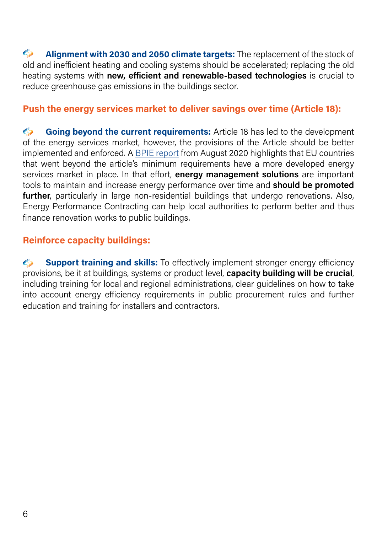$\mathscr{C}_{n}$ Alignment with 2030 and 2050 climate targets: The replacement of the stock of old and inefficient heating and cooling systems should be accelerated; replacing the old heating systems with new, efficient and renewable-based technologies is crucial to reduce greenhouse gas emissions in the buildings sector.

#### Push the energy services market to deliver savings over time (Article 18):

 $\mathscr{C}_{n}$ Going beyond the current requirements: Article 18 has led to the development of the energy services market, however, the provisions of the Article should be better implemented and enforced. A [BPIE report](https://www.bpie.eu/wp-content/uploads/2020/09/REPORT-ESCO_FINAL-1.pdf) from August 2020 highlights that EU countries that went beyond the article's minimum requirements have a more developed energy services market in place. In that effort, energy management solutions are important tools to maintain and increase energy performance over time and **should be promoted** further, particularly in large non-residential buildings that undergo renovations. Also, Energy Performance Contracting can help local authorities to perform better and thus finance renovation works to public buildings.

#### Reinforce capacity buildings:

 $\mathscr{C}_{\lambda}$ **Support training and skills:** To effectively implement stronger energy efficiency provisions, be it at buildings, systems or product level, capacity building will be crucial, including training for local and regional administrations, clear guidelines on how to take into account energy efficiency requirements in public procurement rules and further education and training for installers and contractors.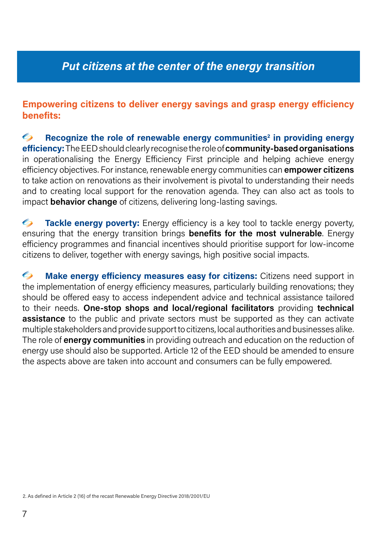## Put citizens at the center of the energy transition

#### Empowering citizens to deliver energy savings and grasp energy efficiency benefits:

 $\mathscr{C}_{n}$ Recognize the role of renewable energy communities<sup>2</sup> in providing energy efficiency: The EED should clearly recognise the role of community-based organisations in operationalising the Energy Efficiency First principle and helping achieve energy efficiency objectives. For instance, renewable energy communities can **empower citizens** to take action on renovations as their involvement is pivotal to understanding their needs and to creating local support for the renovation agenda. They can also act as tools to impact behavior change of citizens, delivering long-lasting savings.

 $\mathscr{C}_{n}$ **Tackle energy poverty:** Energy efficiency is a key tool to tackle energy poverty, ensuring that the energy transition brings **benefits for the most vulnerable**. Energy efficiency programmes and financial incentives should prioritise support for low-income citizens to deliver, together with energy savings, high positive social impacts.

 $\mathscr{C}_{n}$ Make energy efficiency measures easy for citizens: Citizens need support in the implementation of energy efficiency measures, particularly building renovations; they should be offered easy to access independent advice and technical assistance tailored to their needs. One-stop shops and local/regional facilitators providing technical **assistance** to the public and private sectors must be supported as they can activate multiple stakeholders and provide support to citizens, local authorities and businesses alike. The role of **energy communities** in providing outreach and education on the reduction of energy use should also be supported. Article 12 of the EED should be amended to ensure the aspects above are taken into account and consumers can be fully empowered.